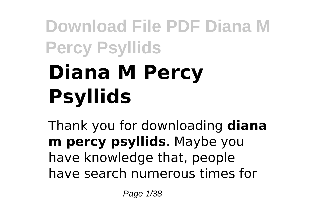# **Download File PDF Diana M Percy Psyllids Diana M Percy Psyllids**

Thank you for downloading **diana m percy psyllids**. Maybe you have knowledge that, people have search numerous times for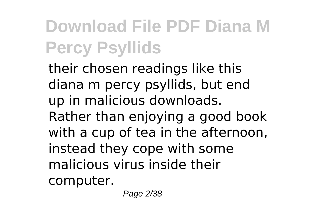their chosen readings like this diana m percy psyllids, but end up in malicious downloads. Rather than enjoying a good book with a cup of tea in the afternoon, instead they cope with some malicious virus inside their computer.

Page 2/38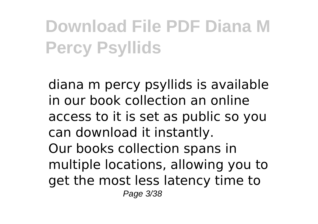diana m percy psyllids is available in our book collection an online access to it is set as public so you can download it instantly. Our books collection spans in multiple locations, allowing you to get the most less latency time to Page 3/38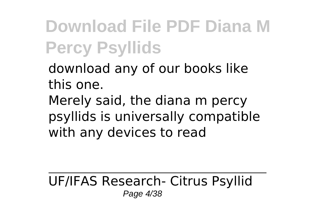download any of our books like this one.

Merely said, the diana m percy psyllids is universally compatible with any devices to read

UF/IFAS Research- Citrus Psyllid Page 4/38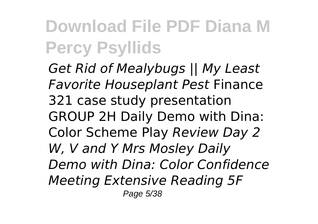*Get Rid of Mealybugs || My Least Favorite Houseplant Pest* Finance 321 case study presentation GROUP 2H Daily Demo with Dina: Color Scheme Play *Review Day 2 W, V and Y Mrs Mosley Daily Demo with Dina: Color Confidence Meeting Extensive Reading 5F* Page 5/38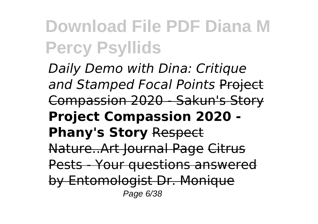*Daily Demo with Dina: Critique and Stamped Focal Points* Project Compassion 2020 - Sakun's Story **Project Compassion 2020 - Phany's Story** Respect Nature..Art Journal Page Citrus Pests - Your questions answered by Entomologist Dr. Monique Page 6/38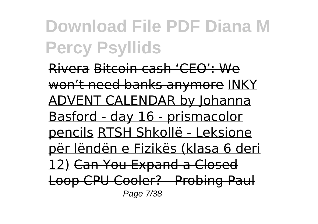Rivera Bitcoin cash 'CEO': We won't need banks anymore INKY ADVENT CALENDAR by Johanna Basford - day 16 - prismacolor pencils RTSH Shkollë - Leksione për lëndën e Fizikës (klasa 6 deri 12) Can You Expand a Closed Loop CPU Cooler? - Probing Paul Page 7/38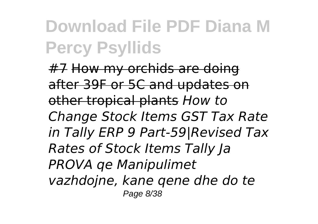#7 How my orchids are doing after 39F or 5C and updates on other tropical plants *How to Change Stock Items GST Tax Rate in Tally ERP 9 Part-59|Revised Tax Rates of Stock Items Tally Ja PROVA qe Manipulimet vazhdojne, kane qene dhe do te* Page 8/38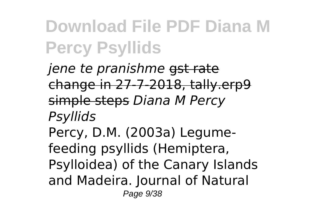*jene te pranishme* gst rate change in 27-7-2018, tally.erp9 simple steps *Diana M Percy Psyllids* Percy, D.M. (2003a) Legumefeeding psyllids (Hemiptera, Psylloidea) of the Canary Islands and Madeira. Journal of Natural Page 9/38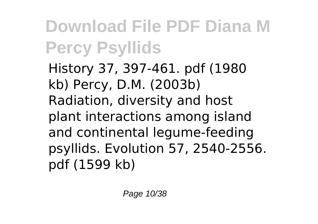History 37, 397-461. pdf (1980 kb) Percy, D.M. (2003b) Radiation, diversity and host plant interactions among island and continental legume-feeding psyllids. Evolution 57, 2540-2556. pdf (1599 kb)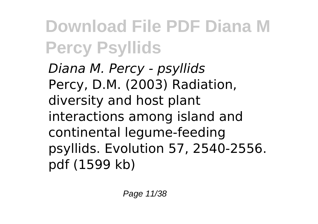*Diana M. Percy - psyllids* Percy, D.M. (2003) Radiation, diversity and host plant interactions among island and continental legume-feeding psyllids. Evolution 57, 2540-2556. pdf (1599 kb)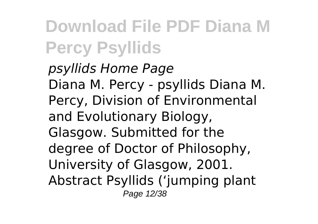*psyllids Home Page* Diana M. Percy - psyllids Diana M. Percy, Division of Environmental and Evolutionary Biology, Glasgow. Submitted for the degree of Doctor of Philosophy, University of Glasgow, 2001. Abstract Psyllids ('jumping plant Page 12/38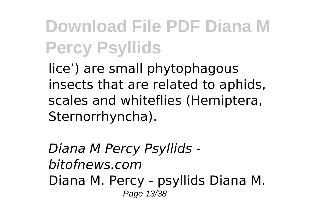lice') are small phytophagous insects that are related to aphids, scales and whiteflies (Hemiptera, Sternorrhyncha).

*Diana M Percy Psyllids bitofnews.com* Diana M. Percy - psyllids Diana M. Page 13/38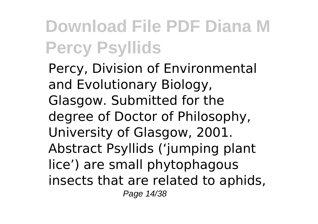Percy, Division of Environmental and Evolutionary Biology, Glasgow. Submitted for the degree of Doctor of Philosophy, University of Glasgow, 2001. Abstract Psyllids ('jumping plant lice') are small phytophagous insects that are related to aphids, Page 14/38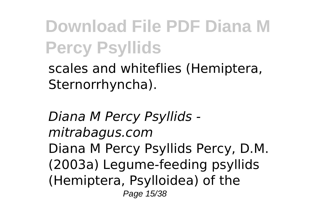scales and whiteflies (Hemiptera, Sternorrhyncha).

*Diana M Percy Psyllids mitrabagus.com* Diana M Percy Psyllids Percy, D.M. (2003a) Legume-feeding psyllids (Hemiptera, Psylloidea) of the Page 15/38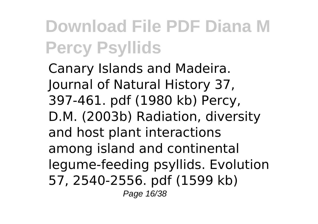Canary Islands and Madeira. Journal of Natural History 37, 397-461. pdf (1980 kb) Percy, D.M. (2003b) Radiation, diversity and host plant interactions among island and continental legume-feeding psyllids. Evolution 57, 2540-2556. pdf (1599 kb) Page 16/38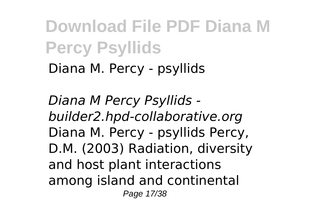Diana M. Percy - psyllids

*Diana M Percy Psyllids builder2.hpd-collaborative.org* Diana M. Percy - psyllids Percy, D.M. (2003) Radiation, diversity and host plant interactions among island and continental Page 17/38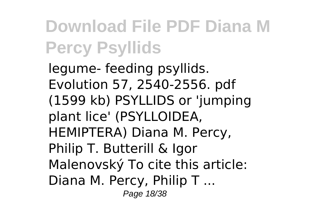legume- feeding psyllids. Evolution 57, 2540-2556. pdf (1599 kb) PSYLLIDS or 'jumping plant lice' (PSYLLOIDEA, HEMIPTERA) Diana M. Percy, Philip T. Butterill & Igor Malenovský To cite this article: Diana M. Percy, Philip T ... Page 18/38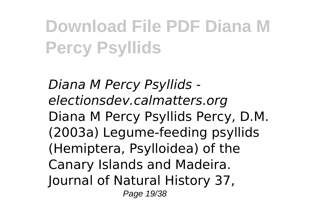*Diana M Percy Psyllids electionsdev.calmatters.org* Diana M Percy Psyllids Percy, D.M. (2003a) Legume-feeding psyllids (Hemiptera, Psylloidea) of the Canary Islands and Madeira. Journal of Natural History 37, Page 19/38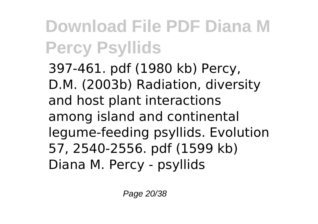397-461. pdf (1980 kb) Percy, D.M. (2003b) Radiation, diversity and host plant interactions among island and continental legume-feeding psyllids. Evolution 57, 2540-2556. pdf (1599 kb) Diana M. Percy - psyllids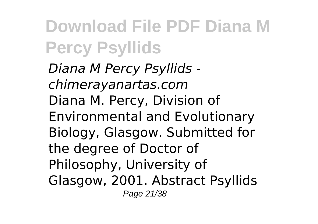*Diana M Percy Psyllids chimerayanartas.com* Diana M. Percy, Division of Environmental and Evolutionary Biology, Glasgow. Submitted for the degree of Doctor of Philosophy, University of Glasgow, 2001. Abstract Psyllids Page 21/38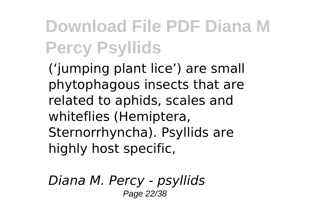('jumping plant lice') are small phytophagous insects that are related to aphids, scales and whiteflies (Hemiptera, Sternorrhyncha). Psyllids are highly host specific,

*Diana M. Percy - psyllids* Page 22/38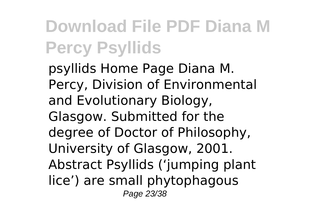psyllids Home Page Diana M. Percy, Division of Environmental and Evolutionary Biology, Glasgow. Submitted for the degree of Doctor of Philosophy, University of Glasgow, 2001. Abstract Psyllids ('jumping plant lice') are small phytophagous Page 23/38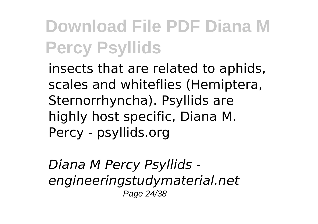insects that are related to aphids, scales and whiteflies (Hemiptera, Sternorrhyncha). Psyllids are highly host specific, Diana M. Percy - psyllids.org

*Diana M Percy Psyllids engineeringstudymaterial.net* Page 24/38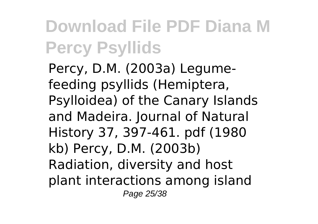Percy, D.M. (2003a) Legumefeeding psyllids (Hemiptera, Psylloidea) of the Canary Islands and Madeira. Journal of Natural History 37, 397-461. pdf (1980 kb) Percy, D.M. (2003b) Radiation, diversity and host plant interactions among island Page 25/38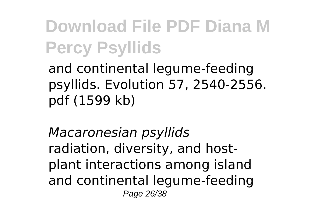and continental legume-feeding psyllids. Evolution 57, 2540-2556. pdf (1599 kb)

*Macaronesian psyllids* radiation, diversity, and hostplant interactions among island and continental legume-feeding Page 26/38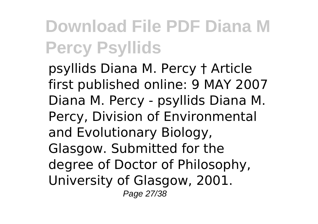psyllids Diana M. Percy † Article first published online: 9 MAY 2007 Diana M. Percy - psyllids Diana M. Percy, Division of Environmental and Evolutionary Biology, Glasgow. Submitted for the degree of Doctor of Philosophy, University of Glasgow, 2001. Page 27/38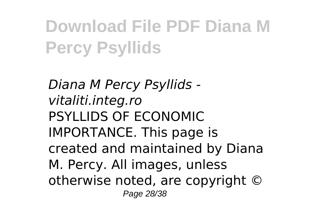*Diana M Percy Psyllids vitaliti.integ.ro* PSYLLIDS OF ECONOMIC IMPORTANCE. This page is created and maintained by Diana M. Percy. All images, unless otherwise noted, are copyright © Page 28/38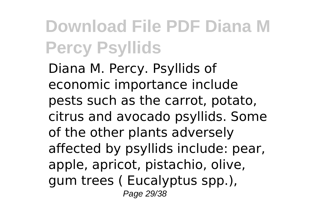Diana M. Percy. Psyllids of economic importance include pests such as the carrot, potato, citrus and avocado psyllids. Some of the other plants adversely affected by psyllids include: pear, apple, apricot, pistachio, olive, gum trees ( Eucalyptus spp.), Page 29/38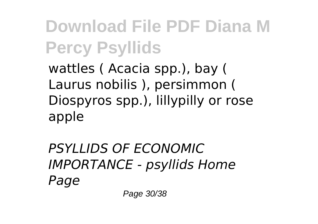wattles ( Acacia spp.), bay ( Laurus nobilis ), persimmon ( Diospyros spp.), lillypilly or rose apple

*PSYLLIDS OF ECONOMIC IMPORTANCE - psyllids Home Page*

Page 30/38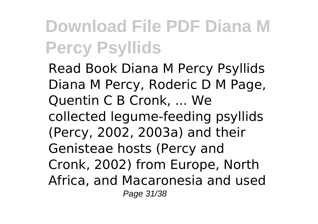Read Book Diana M Percy Psyllids Diana M Percy, Roderic D M Page, Quentin C B Cronk, ... We collected legume-feeding psyllids (Percy, 2002, 2003a) and their Genisteae hosts (Percy and Cronk, 2002) from Europe, North Africa, and Macaronesia and used Page 31/38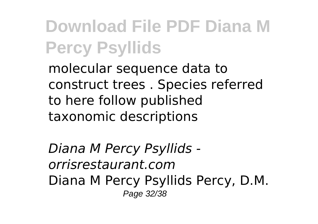molecular sequence data to construct trees . Species referred to here follow published taxonomic descriptions

*Diana M Percy Psyllids orrisrestaurant.com* Diana M Percy Psyllids Percy, D.M. Page 32/38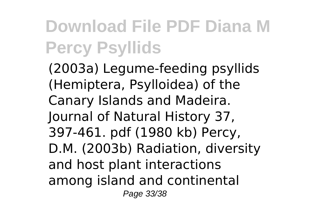(2003a) Legume-feeding psyllids (Hemiptera, Psylloidea) of the Canary Islands and Madeira. Journal of Natural History 37, 397-461. pdf (1980 kb) Percy, D.M. (2003b) Radiation, diversity and host plant interactions among island and continental Page 33/38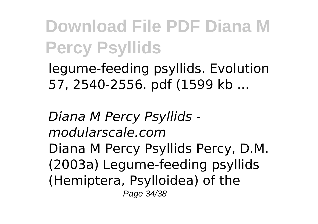legume-feeding psyllids. Evolution 57, 2540-2556. pdf (1599 kb ...

*Diana M Percy Psyllids modularscale.com* Diana M Percy Psyllids Percy, D.M. (2003a) Legume-feeding psyllids (Hemiptera, Psylloidea) of the Page 34/38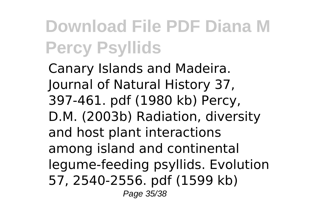Canary Islands and Madeira. Journal of Natural History 37, 397-461. pdf (1980 kb) Percy, D.M. (2003b) Radiation, diversity and host plant interactions among island and continental legume-feeding psyllids. Evolution 57, 2540-2556. pdf (1599 kb) Page 35/38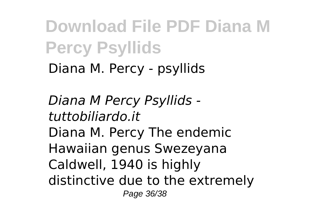Diana M. Percy - psyllids

*Diana M Percy Psyllids tuttobiliardo.it* Diana M. Percy The endemic Hawaiian genus Swezeyana Caldwell, 1940 is highly distinctive due to the extremely Page 36/38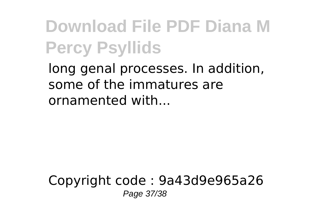long genal processes. In addition, some of the immatures are ornamented with...

#### Copyright code : 9a43d9e965a26 Page 37/38